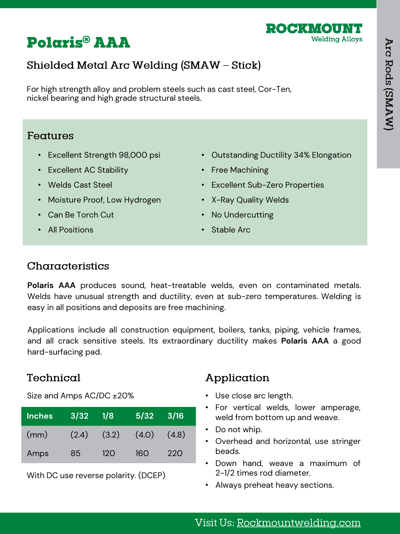

# **Polaris® AAA**

## Shielded Metal Arc Welding (SMAW - Stick)

For high strength alloy and problem steels such as cast steel, Cor-Ten, nickel bearing and high grade structural steels.

#### Features

- Excellent Strength 98,000 psi
- Excellent AC Stability
- Welds Cast Steel
- Moisture Proof, Low Hydrogen
- Can Be Torch Cut
- All Positions
- Outstanding Ductility 34% Elongation
- Free Machining
- Excellent Sub-Zero Properties
- X-Ray Quality Welds
- No Undercutting
- Stable Arc

#### Characteristics

**Polaris AAA** produces sound, heat-treatable welds, even on contaminated metals. Welds have unusual strength and ductility, even at sub-zero temperatures. Welding is easy in all positions and deposits are free machining.

Applications include all construction equipment, boilers, tanks, piping, vehicle frames, and all crack sensitive steels. Its extraordinary ductility makes **Polaris AAA** a good hard-surfacing pad.

## Technical

Size and Amps AC/DC ±20%

| <b>Inches</b> | 3/32  | 1/8   | 5/32  | 3/16  |
|---------------|-------|-------|-------|-------|
| (mm)          | (2.4) | (3.2) | (4.0) | (4.8) |
| Amps          | 85    | 120   | 16O   | 22O   |

With DC use reverse polarity. (DCEP)

## Application

- Use close arc length.
- For vertical welds, lower amperage, weld from bottom up and weave.
- Do not whip.
- Overhead and horizontal, use stringer beads.
- Down hand, weave a maximum of 2-1/2 times rod diameter.
- Always preheat heavy sections.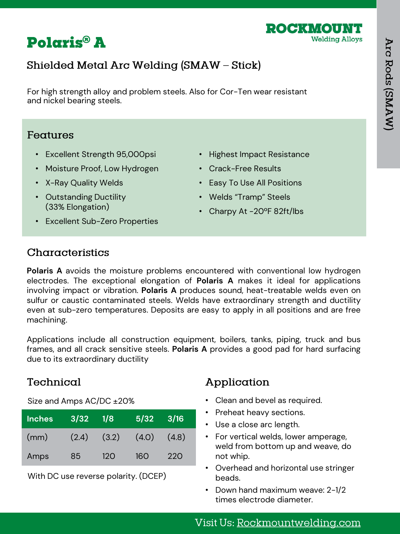



## Shielded Metal Arc Welding (SMAW - Stick)

For high strength alloy and problem steels. Also for Cor-Ten wear resistant and nickel bearing steels.

#### Features

- Excellent Strength 95,000psi
- Moisture Proof, Low Hydrogen
- X-Ray Quality Welds
- Outstanding Ductility (33% Elongation)
- Excellent Sub-Zero Properties
- Highest Impact Resistance
- Crack-Free Results
- Easy To Use All Positions
- Welds "Tramp" Steels
- Charpy At -20ºF 82ft/lbs

#### Characteristics

**Polaris A** avoids the moisture problems encountered with conventional low hydrogen electrodes. The exceptional elongation of **Polaris A** makes it ideal for applications involving impact or vibration. **Polaris A** produces sound, heat-treatable welds even on sulfur or caustic contaminated steels. Welds have extraordinary strength and ductility even at sub-zero temperatures. Deposits are easy to apply in all positions and are free machining.

Applications include all construction equipment, boilers, tanks, piping, truck and bus frames, and all crack sensitive steels. **Polaris A** provides a good pad for hard surfacing due to its extraordinary ductility

#### Technical

Size and Amps AC/DC ±20%

| <b>Inches</b> | 3/32  | 1/8   | 5/32  | 3/16  |
|---------------|-------|-------|-------|-------|
| (mm)          | (2.4) | (3.2) | (4.0) | (4.8) |
| Amps          | 85.   | 12O   | 160   | 220   |

With DC use reverse polarity. (DCEP)

#### Application

- Clean and bevel as required.
- Preheat heavy sections.
- Use a close arc length.
- For vertical welds, lower amperage, weld from bottom up and weave, do not whip.
- Overhead and horizontal use stringer beads.
- Down hand maximum weave: 2-1/2 times electrode diameter.